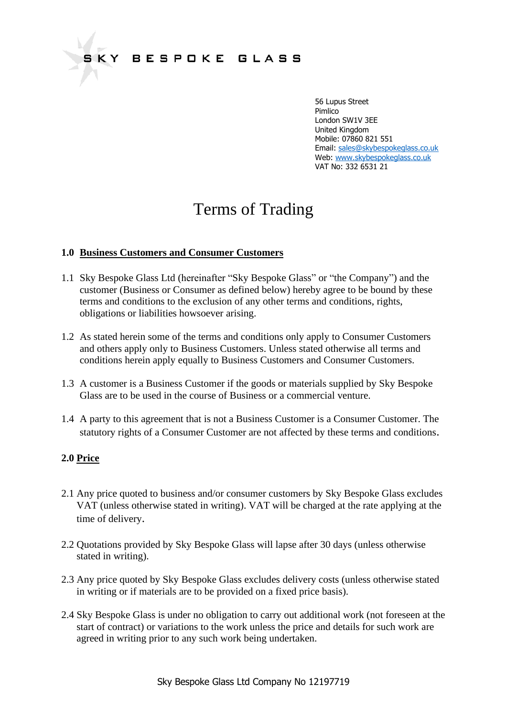# Terms of Trading

# **1.0 Business Customers and Consumer Customers**

- 1.1 Sky Bespoke Glass Ltd (hereinafter "Sky Bespoke Glass" or "the Company") and the customer (Business or Consumer as defined below) hereby agree to be bound by these terms and conditions to the exclusion of any other terms and conditions, rights, obligations or liabilities howsoever arising.
- 1.2 As stated herein some of the terms and conditions only apply to Consumer Customers and others apply only to Business Customers. Unless stated otherwise all terms and conditions herein apply equally to Business Customers and Consumer Customers.
- 1.3 A customer is a Business Customer if the goods or materials supplied by Sky Bespoke Glass are to be used in the course of Business or a commercial venture.
- 1.4 A party to this agreement that is not a Business Customer is a Consumer Customer. The statutory rights of a Consumer Customer are not affected by these terms and conditions.

## **2.0 Price**

- 2.1 Any price quoted to business and/or consumer customers by Sky Bespoke Glass excludes VAT (unless otherwise stated in writing). VAT will be charged at the rate applying at the time of delivery.
- 2.2 Quotations provided by Sky Bespoke Glass will lapse after 30 days (unless otherwise stated in writing).
- 2.3 Any price quoted by Sky Bespoke Glass excludes delivery costs (unless otherwise stated in writing or if materials are to be provided on a fixed price basis).
- 2.4 Sky Bespoke Glass is under no obligation to carry out additional work (not foreseen at the start of contract) or variations to the work unless the price and details for such work are agreed in writing prior to any such work being undertaken.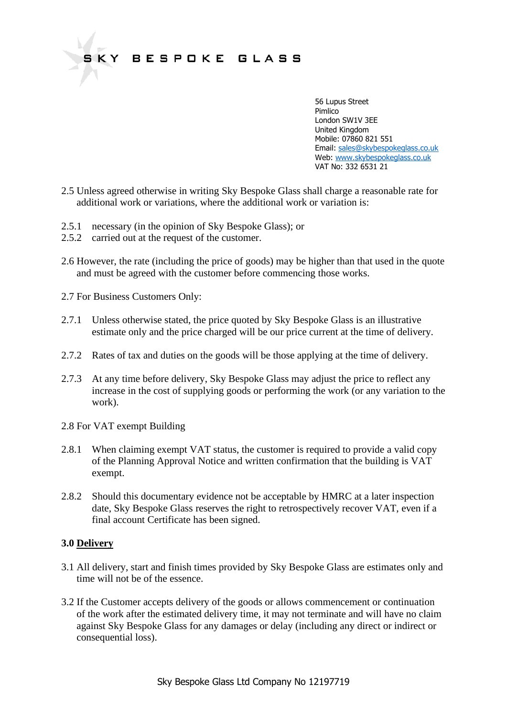

- 2.5 Unless agreed otherwise in writing Sky Bespoke Glass shall charge a reasonable rate for additional work or variations, where the additional work or variation is:
- 2.5.1 necessary (in the opinion of Sky Bespoke Glass); or
- 2.5.2 carried out at the request of the customer.
- 2.6 However, the rate (including the price of goods) may be higher than that used in the quote and must be agreed with the customer before commencing those works.
- 2.7 For Business Customers Only:
- 2.7.1 Unless otherwise stated, the price quoted by Sky Bespoke Glass is an illustrative estimate only and the price charged will be our price current at the time of delivery.
- 2.7.2 Rates of tax and duties on the goods will be those applying at the time of delivery.
- 2.7.3 At any time before delivery, Sky Bespoke Glass may adjust the price to reflect any increase in the cost of supplying goods or performing the work (or any variation to the work).
- 2.8 For VAT exempt Building
- 2.8.1 When claiming exempt VAT status, the customer is required to provide a valid copy of the Planning Approval Notice and written confirmation that the building is VAT exempt.
- 2.8.2 Should this documentary evidence not be acceptable by HMRC at a later inspection date, Sky Bespoke Glass reserves the right to retrospectively recover VAT, even if a final account Certificate has been signed.

# **3.0 Delivery**

- 3.1 All delivery, start and finish times provided by Sky Bespoke Glass are estimates only and time will not be of the essence.
- 3.2 If the Customer accepts delivery of the goods or allows commencement or continuation of the work after the estimated delivery time, it may not terminate and will have no claim against Sky Bespoke Glass for any damages or delay (including any direct or indirect or consequential loss).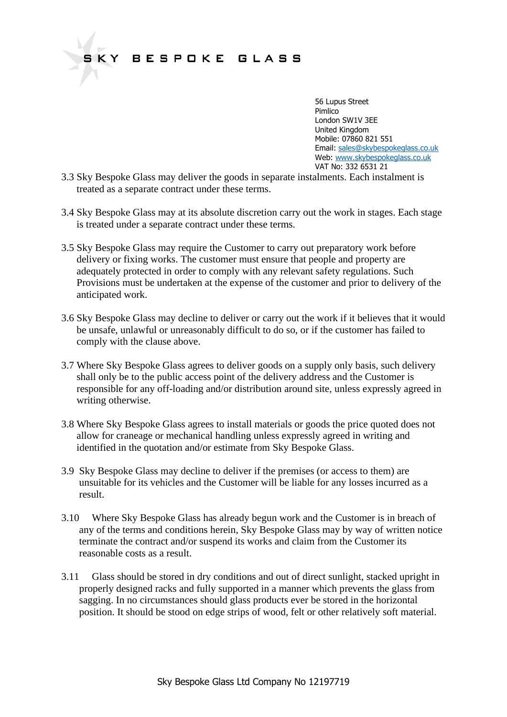56 Lupus Street e de la provincia de la provincia de la provincia de la provincia de la provincia de la provincia de la provin London SW1V 3EE United Kingdom Mobile: 07860 821 551 Email: [sales@skybespokeglass.co.uk](mailto:sales@skybespokeglass.co.uk) Web: [www.skybespokeglass.co.uk](http://www.skybespokeglass.co.uk/) VAT No: 332 6531 21

- 3.3 Sky Bespoke Glass may deliver the goods in separate instalments. Each instalment is treated as a separate contract under these terms.
- 3.4 Sky Bespoke Glass may at its absolute discretion carry out the work in stages. Each stage is treated under a separate contract under these terms.
- 3.5 Sky Bespoke Glass may require the Customer to carry out preparatory work before delivery or fixing works. The customer must ensure that people and property are adequately protected in order to comply with any relevant safety regulations. Such Provisions must be undertaken at the expense of the customer and prior to delivery of the anticipated work.
- 3.6 Sky Bespoke Glass may decline to deliver or carry out the work if it believes that it would be unsafe, unlawful or unreasonably difficult to do so, or if the customer has failed to comply with the clause above.
- 3.7 Where Sky Bespoke Glass agrees to deliver goods on a supply only basis, such delivery shall only be to the public access point of the delivery address and the Customer is responsible for any off-loading and/or distribution around site, unless expressly agreed in writing otherwise.
- 3.8 Where Sky Bespoke Glass agrees to install materials or goods the price quoted does not allow for craneage or mechanical handling unless expressly agreed in writing and identified in the quotation and/or estimate from Sky Bespoke Glass.
- 3.9 Sky Bespoke Glass may decline to deliver if the premises (or access to them) are unsuitable for its vehicles and the Customer will be liable for any losses incurred as a result.
- 3.10 Where Sky Bespoke Glass has already begun work and the Customer is in breach of any of the terms and conditions herein, Sky Bespoke Glass may by way of written notice terminate the contract and/or suspend its works and claim from the Customer its reasonable costs as a result.
- 3.11 Glass should be stored in dry conditions and out of direct sunlight, stacked upright in properly designed racks and fully supported in a manner which prevents the glass from sagging. In no circumstances should glass products ever be stored in the horizontal position. It should be stood on edge strips of wood, felt or other relatively soft material.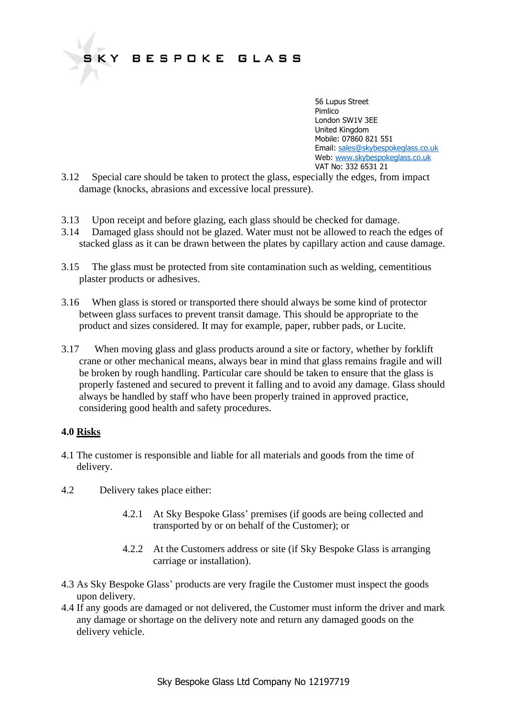56 Lupus Street e de la provincia de la provincia de la provincia de la provincia de la provincia de la provincia de la provin London SW1V 3EE United Kingdom Mobile: 07860 821 551 Email: [sales@skybespokeglass.co.uk](mailto:sales@skybespokeglass.co.uk) Web: [www.skybespokeglass.co.uk](http://www.skybespokeglass.co.uk/) VAT No: 332 6531 21

- 3.12 Special care should be taken to protect the glass, especially the edges, from impact damage (knocks, abrasions and excessive local pressure).
- 3.13 Upon receipt and before glazing, each glass should be checked for damage.
- 3.14 Damaged glass should not be glazed. Water must not be allowed to reach the edges of stacked glass as it can be drawn between the plates by capillary action and cause damage.
- 3.15 The glass must be protected from site contamination such as welding, cementitious plaster products or adhesives.
- 3.16 When glass is stored or transported there should always be some kind of protector between glass surfaces to prevent transit damage. This should be appropriate to the product and sizes considered. It may for example, paper, rubber pads, or Lucite.
- 3.17 When moving glass and glass products around a site or factory, whether by forklift crane or other mechanical means, always bear in mind that glass remains fragile and will be broken by rough handling. Particular care should be taken to ensure that the glass is properly fastened and secured to prevent it falling and to avoid any damage. Glass should always be handled by staff who have been properly trained in approved practice, considering good health and safety procedures.

# **4.0 Risks**

- 4.1 The customer is responsible and liable for all materials and goods from the time of delivery.
- 4.2 Delivery takes place either:
	- 4.2.1 At Sky Bespoke Glass' premises (if goods are being collected and transported by or on behalf of the Customer); or
	- 4.2.2 At the Customers address or site (if Sky Bespoke Glass is arranging carriage or installation).
- 4.3 As Sky Bespoke Glass' products are very fragile the Customer must inspect the goods upon delivery.
- 4.4 If any goods are damaged or not delivered, the Customer must inform the driver and mark any damage or shortage on the delivery note and return any damaged goods on the delivery vehicle.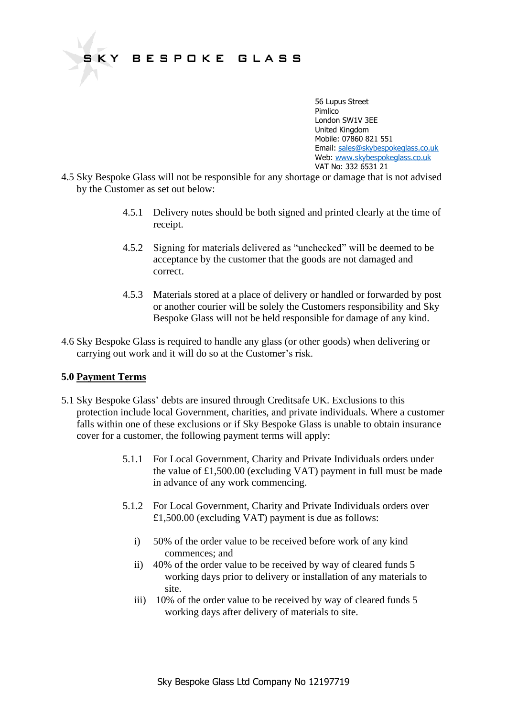56 Lupus Street e de la provincia de la provincia de la provincia de la provincia de la provincia de la provincia de la provin London SW1V 3EE United Kingdom Mobile: 07860 821 551 Email: [sales@skybespokeglass.co.uk](mailto:sales@skybespokeglass.co.uk) Web: [www.skybespokeglass.co.uk](http://www.skybespokeglass.co.uk/) VAT No: 332 6531 21

- 4.5 Sky Bespoke Glass will not be responsible for any shortage or damage that is not advised by the Customer as set out below:
	- 4.5.1 Delivery notes should be both signed and printed clearly at the time of receipt.
	- 4.5.2 Signing for materials delivered as "unchecked" will be deemed to be acceptance by the customer that the goods are not damaged and correct.
	- 4.5.3 Materials stored at a place of delivery or handled or forwarded by post or another courier will be solely the Customers responsibility and Sky Bespoke Glass will not be held responsible for damage of any kind.
- 4.6 Sky Bespoke Glass is required to handle any glass (or other goods) when delivering or carrying out work and it will do so at the Customer's risk.

## **5.0 Payment Terms**

- 5.1 Sky Bespoke Glass' debts are insured through Creditsafe UK. Exclusions to this protection include local Government, charities, and private individuals. Where a customer falls within one of these exclusions or if Sky Bespoke Glass is unable to obtain insurance cover for a customer, the following payment terms will apply:
	- 5.1.1 For Local Government, Charity and Private Individuals orders under the value of £1,500.00 (excluding VAT) payment in full must be made in advance of any work commencing.
	- 5.1.2 For Local Government, Charity and Private Individuals orders over £1,500.00 (excluding VAT) payment is due as follows:
		- i) 50% of the order value to be received before work of any kind commences; and
		- ii) 40% of the order value to be received by way of cleared funds 5 working days prior to delivery or installation of any materials to site.
		- iii) 10% of the order value to be received by way of cleared funds 5 working days after delivery of materials to site.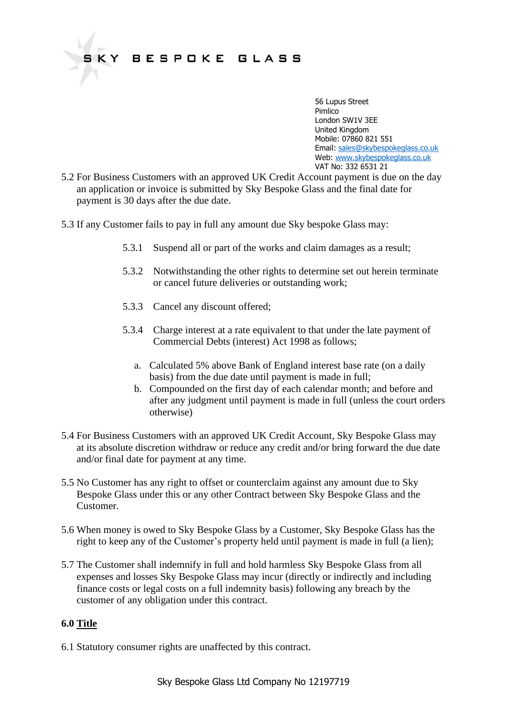56 Lupus Street e de la provincia de la provincia de la provincia de la provincia de la provincia de la provincia de la provin London SW1V 3EE United Kingdom Mobile: 07860 821 551 Email: [sales@skybespokeglass.co.uk](mailto:sales@skybespokeglass.co.uk) Web: [www.skybespokeglass.co.uk](http://www.skybespokeglass.co.uk/) VAT No: 332 6531 21

- 5.2 For Business Customers with an approved UK Credit Account payment is due on the day an application or invoice is submitted by Sky Bespoke Glass and the final date for payment is 30 days after the due date.
- 5.3 If any Customer fails to pay in full any amount due Sky bespoke Glass may:
	- 5.3.1 Suspend all or part of the works and claim damages as a result;
	- 5.3.2 Notwithstanding the other rights to determine set out herein terminate or cancel future deliveries or outstanding work;
	- 5.3.3 Cancel any discount offered;
	- 5.3.4 Charge interest at a rate equivalent to that under the late payment of Commercial Debts (interest) Act 1998 as follows;
		- a. Calculated 5% above Bank of England interest base rate (on a daily basis) from the due date until payment is made in full;
		- b. Compounded on the first day of each calendar month; and before and after any judgment until payment is made in full (unless the court orders otherwise)
- 5.4 For Business Customers with an approved UK Credit Account, Sky Bespoke Glass may at its absolute discretion withdraw or reduce any credit and/or bring forward the due date and/or final date for payment at any time.
- 5.5 No Customer has any right to offset or counterclaim against any amount due to Sky Bespoke Glass under this or any other Contract between Sky Bespoke Glass and the Customer.
- 5.6 When money is owed to Sky Bespoke Glass by a Customer, Sky Bespoke Glass has the right to keep any of the Customer's property held until payment is made in full (a lien);
- 5.7 The Customer shall indemnify in full and hold harmless Sky Bespoke Glass from all expenses and losses Sky Bespoke Glass may incur (directly or indirectly and including finance costs or legal costs on a full indemnity basis) following any breach by the customer of any obligation under this contract.

## **6.0 Title**

6.1 Statutory consumer rights are unaffected by this contract.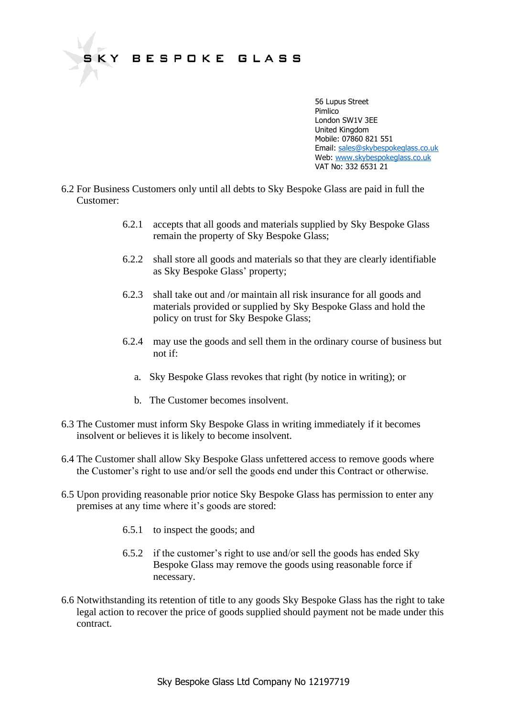

- 6.2 For Business Customers only until all debts to Sky Bespoke Glass are paid in full the Customer:
	- 6.2.1 accepts that all goods and materials supplied by Sky Bespoke Glass remain the property of Sky Bespoke Glass;
	- 6.2.2 shall store all goods and materials so that they are clearly identifiable as Sky Bespoke Glass' property;
	- 6.2.3 shall take out and /or maintain all risk insurance for all goods and materials provided or supplied by Sky Bespoke Glass and hold the policy on trust for Sky Bespoke Glass;
	- 6.2.4 may use the goods and sell them in the ordinary course of business but not if:
		- a. Sky Bespoke Glass revokes that right (by notice in writing); or
		- b. The Customer becomes insolvent.
- 6.3 The Customer must inform Sky Bespoke Glass in writing immediately if it becomes insolvent or believes it is likely to become insolvent.
- 6.4 The Customer shall allow Sky Bespoke Glass unfettered access to remove goods where the Customer's right to use and/or sell the goods end under this Contract or otherwise.
- 6.5 Upon providing reasonable prior notice Sky Bespoke Glass has permission to enter any premises at any time where it's goods are stored:
	- 6.5.1 to inspect the goods; and
	- 6.5.2 if the customer's right to use and/or sell the goods has ended Sky Bespoke Glass may remove the goods using reasonable force if necessary.
- 6.6 Notwithstanding its retention of title to any goods Sky Bespoke Glass has the right to take legal action to recover the price of goods supplied should payment not be made under this contract.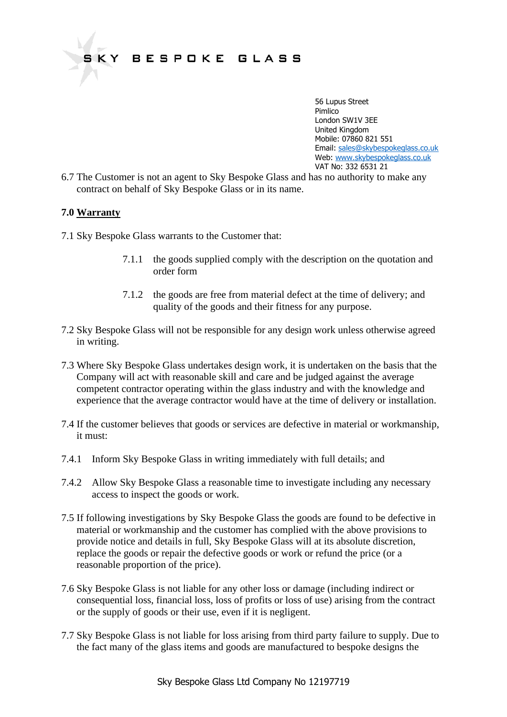

6.7 The Customer is not an agent to Sky Bespoke Glass and has no authority to make any contract on behalf of Sky Bespoke Glass or in its name.

## **7.0 Warranty**

- 7.1 Sky Bespoke Glass warrants to the Customer that:
	- 7.1.1 the goods supplied comply with the description on the quotation and order form
	- 7.1.2 the goods are free from material defect at the time of delivery; and quality of the goods and their fitness for any purpose.
- 7.2 Sky Bespoke Glass will not be responsible for any design work unless otherwise agreed in writing.
- 7.3 Where Sky Bespoke Glass undertakes design work, it is undertaken on the basis that the Company will act with reasonable skill and care and be judged against the average competent contractor operating within the glass industry and with the knowledge and experience that the average contractor would have at the time of delivery or installation.
- 7.4 If the customer believes that goods or services are defective in material or workmanship, it must:
- 7.4.1 Inform Sky Bespoke Glass in writing immediately with full details; and
- 7.4.2 Allow Sky Bespoke Glass a reasonable time to investigate including any necessary access to inspect the goods or work.
- 7.5 If following investigations by Sky Bespoke Glass the goods are found to be defective in material or workmanship and the customer has complied with the above provisions to provide notice and details in full, Sky Bespoke Glass will at its absolute discretion, replace the goods or repair the defective goods or work or refund the price (or a reasonable proportion of the price).
- 7.6 Sky Bespoke Glass is not liable for any other loss or damage (including indirect or consequential loss, financial loss, loss of profits or loss of use) arising from the contract or the supply of goods or their use, even if it is negligent.
- 7.7 Sky Bespoke Glass is not liable for loss arising from third party failure to supply. Due to the fact many of the glass items and goods are manufactured to bespoke designs the